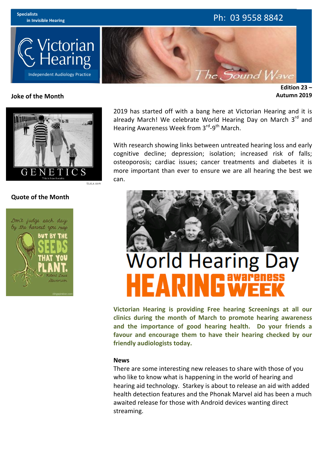

## **Joke of the Month**

**Edition 23 – Autumn 2019**



# **Quote of the Month**



2019 has started off with a bang here at Victorian Hearing and it is already March! We celebrate World Hearing Day on March  $3<sup>rd</sup>$  and Hearing Awareness Week from 3<sup>rd</sup>-9<sup>th</sup> March.

With research showing links between untreated hearing loss and early cognitive decline; depression; isolation; increased risk of falls; osteoporosis; cardiac issues; cancer treatments and diabetes it is more important than ever to ensure we are all hearing the best we can.



# **World Hearing Day**

**Victorian Hearing is providing Free hearing Screenings at all our clinics during the month of March to promote hearing awareness** and the importance of good hearing health. Do your friends a favour and encourage them to have their hearing checked by our **friendly audiologists today.**

### **News**

There are some interesting new releases to share with those of you who like to know what is happening in the world of hearing and hearing aid technology. Starkey is about to release an aid with added health detection features and the Phonak Marvel aid has been a much awaited release for those with Android devices wanting direct streaming.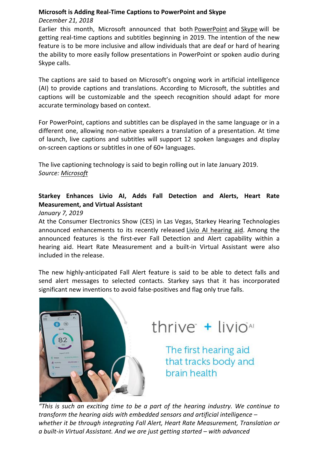# **Microsoft is Adding Real-Time Captions to PowerPoint and Skype**

# *December 21, 2018*

Earlier this month, Microsoft announced that both PowerPoint and Skype will be getting real-time captions and subtitles beginning in 2019. The intention of the new feature is to be more inclusive and allow individuals that are deaf or hard of hearing the ability to more easily follow presentations in PowerPoint or spoken audio during Skype calls.

The captions are said to based on Microsoft's ongoing work in artificial intelligence (AI) to provide captions and translations. According to Microsoft, the subtitles and captions will be customizable and the speech recognition should adapt for more accurate terminology based on context.

For PowerPoint, captions and subtitles can be displayed in the same language or in a different one, allowing non-native speakers a translation of a presentation. At time of launch, live captions and subtitles will support 12 spoken languages and display on-screen captions or subtitles in one of 60+ languages.

The live captioning technology is said to begin rolling out in late January 2019. *Source: Microsoft*

# **Starkey Enhances Livio AI, Adds Fall Detection and Alerts, Heart Rate Measurement, and Virtual Assistant**

# *January 7, 2019*

At the Consumer Electronics Show (CES) in Las Vegas, Starkey Hearing Technologies announced enhancements to its recently released Livio AI hearing aid. Among the announced features is the first-ever Fall Detection and Alert capability within a hearing aid. Heart Rate Measurement and a built-in Virtual Assistant were also included in the release.

The new highly-anticipated Fall Alert feature is said to be able to detect falls and send alert messages to selected contacts. Starkey says that it has incorporated significant new inventions to avoid false-positives and flag only true falls.



thrive + livio<sup>Al</sup>

The first hearing aid that tracks body and brain health

"This is such an exciting time to be a part of the hearing industry. We continue to *transform the hearing aids with embedded sensors and artificial intelligence –* whether it be through integrating Fall Alert, Heart Rate Measurement, Translation or *a built-in Virtual Assistant. And we are just getting started – with advanced*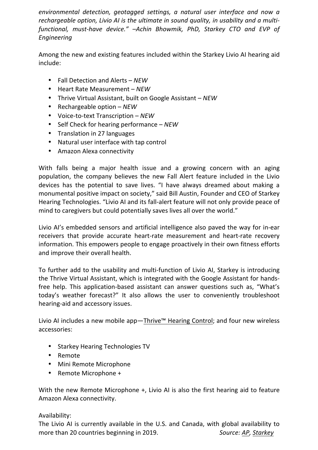environmental detection, geotagged settings, a natural user interface and now a *rechargeable option, Livio AI is the ultimate in sound quality, in usability and a multifunctional, must-have device." –Achin Bhowmik, PhD, Starkey CTO and EVP of Engineering*

Among the new and existing features included within the Starkey Livio AI hearing aid include:

- Fall Detection and Alerts *NEW*
- Heart Rate Measurement – *NEW*
- Thrive Virtual Assistant, built on Google Assistant *NEW*
- Rechargeable option *NEW*
- Voice-to-text Transcription – *NEW*
- Self Check for hearing performance *NEW*
- Translation in 27 languages
- Natural user interface with tap control
- Amazon Alexa connectivity

With falls being a major health issue and a growing concern with an aging population, the company believes the new Fall Alert feature included in the Livio devices has the potential to save lives. "I have always dreamed about making a monumental positive impact on society," said Bill Austin, Founder and CEO of Starkey Hearing Technologies. "Livio AI and its fall-alert feature will not only provide peace of mind to caregivers but could potentially saves lives all over the world."

Livio AI's embedded sensors and artificial intelligence also paved the way for in-ear receivers that provide accurate heart-rate measurement and heart-rate recovery information. This empowers people to engage proactively in their own fitness efforts and improve their overall health.

To further add to the usability and multi-function of Livio AI, Starkey is introducing the Thrive Virtual Assistant, which is integrated with the Google Assistant for handsfree help. This application-based assistant can answer questions such as, "What's today's weather forecast?" It also allows the user to conveniently troubleshoot hearing-aid and accessory issues.

Livio AI includes a new mobile app—Thrive™ Hearing Control; and four new wireless accessories:

- Starkey Hearing Technologies TV
- Remote
- Mini Remote Microphone
- Remote Microphone +

With the new Remote Microphone  $+$ , Livio AI is also the first hearing aid to feature Amazon Alexa connectivity.

# Availability:

The Livio AI is currently available in the U.S. and Canada, with global availability to more than 20 countries beginning in 2019. **Summan Source:** AP, Starkey